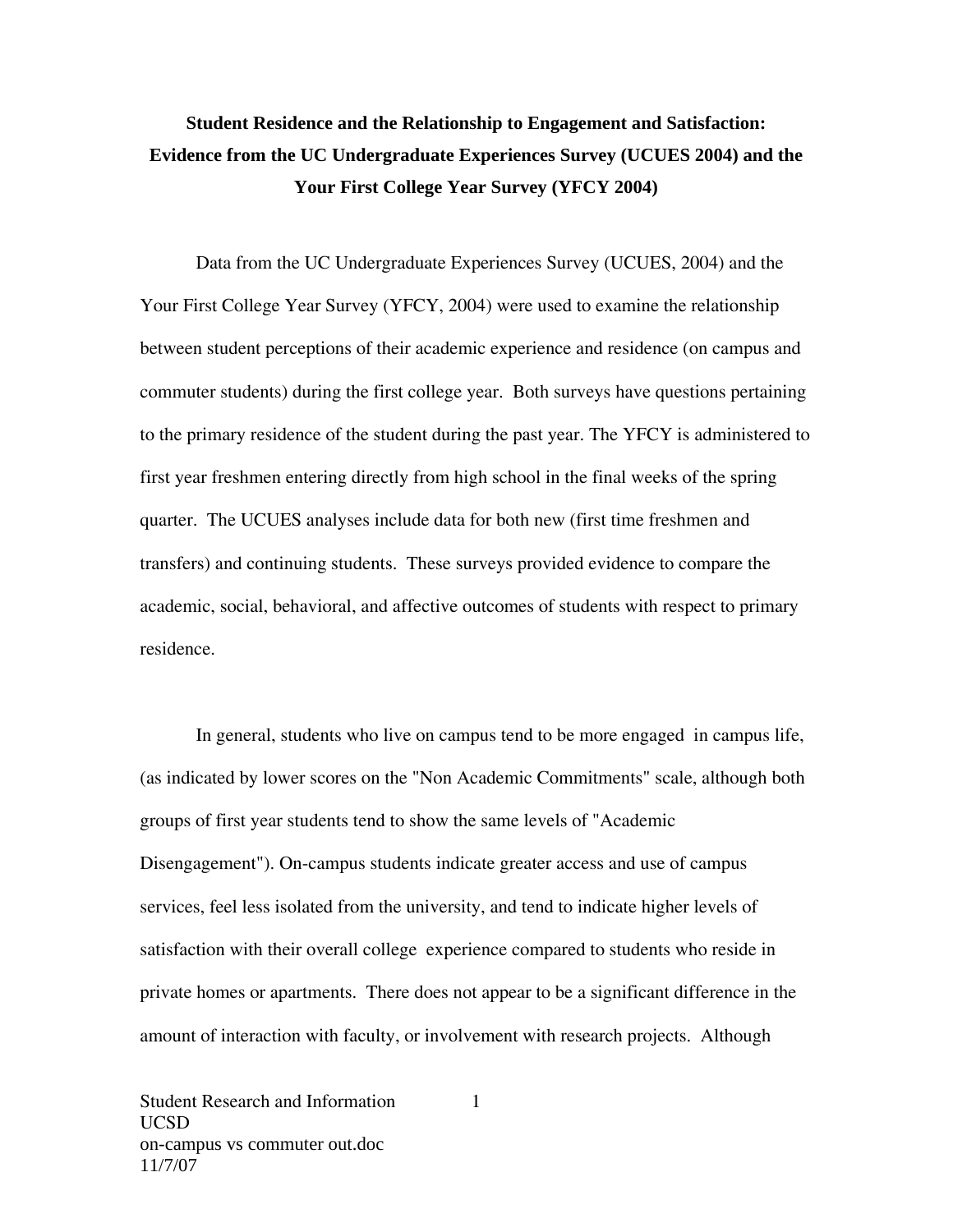## **Student Residence and the Relationship to Engagement and Satisfaction: Evidence from the UC Undergraduate Experiences Survey (UCUES 2004) and the Your First College Year Survey (YFCY 2004)**

Data from the UC Undergraduate Experiences Survey (UCUES, 2004) and the Your First College Year Survey (YFCY, 2004) were used to examine the relationship between student perceptions of their academic experience and residence (on campus and commuter students) during the first college year. Both surveys have questions pertaining to the primary residence of the student during the past year. The YFCY is administered to first year freshmen entering directly from high school in the final weeks of the spring quarter. The UCUES analyses include data for both new (first time freshmen and transfers) and continuing students. These surveys provided evidence to compare the academic, social, behavioral, and affective outcomes of students with respect to primary residence.

In general, students who live on campus tend to be more engaged in campus life, (as indicated by lower scores on the "Non Academic Commitments" scale, although both groups of first year students tend to show the same levels of "Academic Disengagement"). On-campus students indicate greater access and use of campus services, feel less isolated from the university, and tend to indicate higher levels of satisfaction with their overall college experience compared to students who reside in private homes or apartments. There does not appear to be a significant difference in the amount of interaction with faculty, or involvement with research projects. Although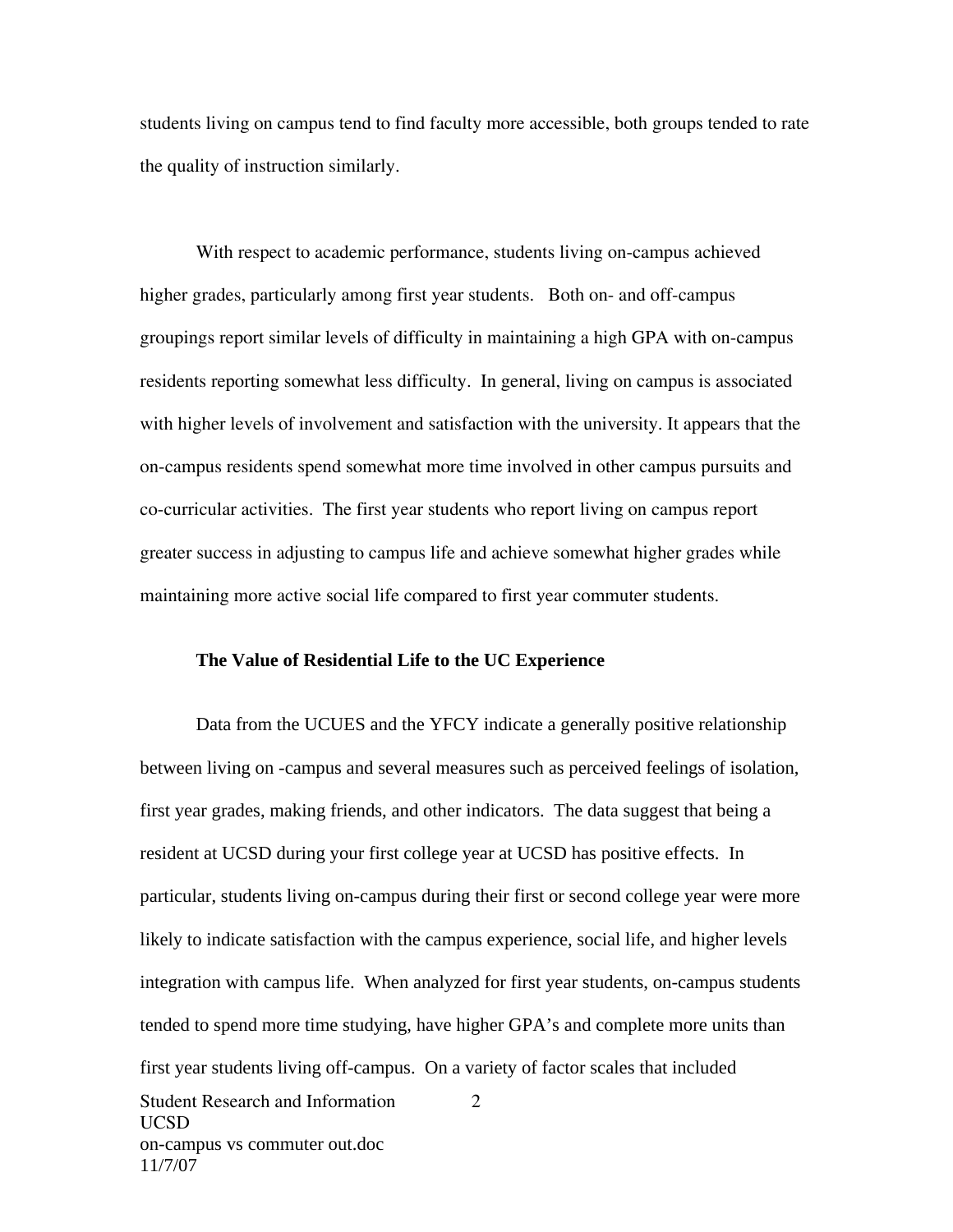students living on campus tend to find faculty more accessible, both groups tended to rate the quality of instruction similarly.

With respect to academic performance, students living on-campus achieved higher grades, particularly among first year students. Both on- and off-campus groupings report similar levels of difficulty in maintaining a high GPA with on-campus residents reporting somewhat less difficulty. In general, living on campus is associated with higher levels of involvement and satisfaction with the university. It appears that the on-campus residents spend somewhat more time involved in other campus pursuits and co-curricular activities. The first year students who report living on campus report greater success in adjusting to campus life and achieve somewhat higher grades while maintaining more active social life compared to first year commuter students.

## **The Value of Residential Life to the UC Experience**

Student Research and Information 2 UCSD on-campus vs commuter out.doc 11/7/07 Data from the UCUES and the YFCY indicate a generally positive relationship between living on -campus and several measures such as perceived feelings of isolation, first year grades, making friends, and other indicators. The data suggest that being a resident at UCSD during your first college year at UCSD has positive effects. In particular, students living on-campus during their first or second college year were more likely to indicate satisfaction with the campus experience, social life, and higher levels integration with campus life. When analyzed for first year students, on-campus students tended to spend more time studying, have higher GPA's and complete more units than first year students living off-campus. On a variety of factor scales that included